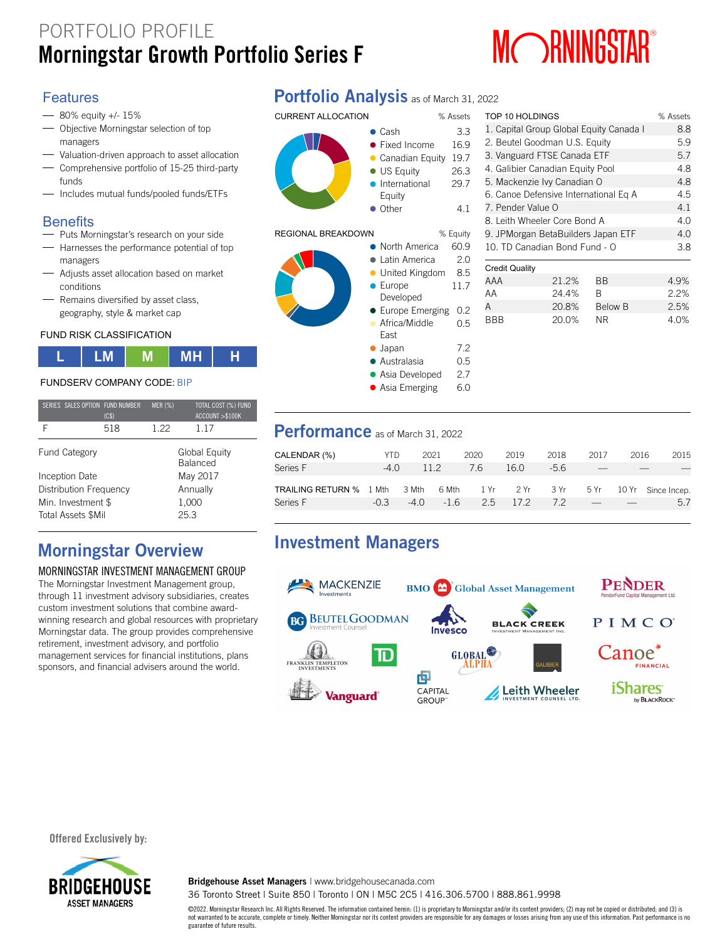# PORTFOLIO PROFILE **MORANGER SERVICE PROPRIET AND RESPONSIVE SERVICE SERVICE SERVICE SERVICE SERVICE SERVICE SERVICE SERVICE SERVICE SERVICE SERVICE SERVICE SERVICE SERVICE SERVICE SERVICE SERVICE SERVICE SERVICE SERVICE SERVICE SERVICE SERV**



### Features

- 80% equity +/- 15%
- Objective Morningstar selection of top managers
- Valuation-driven approach to asset allocation
- Comprehensive portfolio of 15-25 third-party funds
- Includes mutual funds/pooled funds/ETFs

### **Benefits**

- Puts Morningstar's research on your side
- $-$  Harnesses the performance potential of top managers
- Adjusts asset allocation based on market conditions
- Remains diversified by asset class, geography, style & market cap

#### FUND RISK CLASSIFICATION



#### FUNDSERV COMPANY CODE: BIP

|                           |                        | SERIES SALES OPTION FUND NUMBER<br>(C\$) | <b>MER (%)</b>                   | TOTAL COST (%) FUND<br>ACCOUNT >\$100K |  |  |  |
|---------------------------|------------------------|------------------------------------------|----------------------------------|----------------------------------------|--|--|--|
| F                         |                        | 518                                      | 1 22                             | 117                                    |  |  |  |
|                           | <b>Fund Category</b>   |                                          | Global Equity<br><b>Balanced</b> |                                        |  |  |  |
|                           | Inception Date         |                                          | May 2017                         |                                        |  |  |  |
|                           | Distribution Frequency |                                          | Annually                         |                                        |  |  |  |
|                           | Min. Investment \$     |                                          | 1,000                            |                                        |  |  |  |
| <b>Total Assets \$Mil</b> |                        |                                          | 25.3                             |                                        |  |  |  |

## **Morningstar Overview**

#### MORNINGSTAR INVESTMENT MANAGEMENT GROUP

The Morningstar Investment Management group, through 11 investment advisory subsidiaries, creates custom investment solutions that combine awardwinning research and global resources with proprietary Morningstar data. The group provides comprehensive retirement, investment advisory, and portfolio management services for financial institutions, plans sponsors, and financial advisers around the world.

## **Portfolio Analysis** as of March 31, 2022



#### REGIONAL BREAKDOW



|           | • Canadian Equity | 19.7     |
|-----------|-------------------|----------|
|           | • US Equity       | 26.3     |
| $\bullet$ | International     | 29.7     |
|           | Equity            |          |
| $\bullet$ | Other             | 4.1      |
|           |                   |          |
| N         |                   | % Equity |
| $\bullet$ | North America     | 60.9     |
| $\bullet$ | Latin America     | 2.0      |
|           | • United Kingdom  | 8.5      |
|           | $\bullet$ Europe  | 11.7     |
|           | Developed         |          |
|           | • Europe Emerging | 0.2      |
| $\bullet$ | Africa/Middle     | 0.5      |
|           | East              |          |
|           | $\bullet$ Japan   | 7.2      |
|           | • Australasia     | 0.5      |
|           | • Asia Developed  | 2.7      |

• Asia Emerging 6.0

1. Capital Group Global Equity Canada I 8.8 2. Beutel Goodman U.S. Equity 5.9 3. Vanguard FTSE Canada ETF 5.7 4. Galibier Canadian Equity Pool 4.8 5. Mackenzie Ivy Canadian O 4.8 6. Canoe Defensive International Eq A 4.5 7. Pender Value O 4.1 8. Leith Wheeler Core Bond A 4.0 9. JPMorgan BetaBuilders Japan ETF 4.0 10. TD Canadian Bond Fund - O 3.8 Credit Quality AAA 21.2% AA 24.4% A 20.8% BBB 20.0% BB 4.9% B 2.2% Below B 2.5% NR 4.0%

TOP 10 HOLDINGS % Assets

### **Performance** as of March 31, 2022

| CALENDAR (%)                   | YTD.   | 2021 |           | 2020 | 2019         | 2018 | 2017 | 2016 | 2015                                               |
|--------------------------------|--------|------|-----------|------|--------------|------|------|------|----------------------------------------------------|
| Series F                       | -4 Q   |      | 112       | 76   | 16.0         | -5.6 |      |      |                                                    |
| <b>TRAILING RETURN % 1 Mth</b> |        |      |           |      |              |      |      |      | 3 Mth 6 Mth 1 Yr 2 Yr 3 Yr 5 Yr 10 Yr Since Incep. |
| Series F                       | $-0.3$ |      | $-40 -16$ |      | 2.5 17.2 7.2 |      |      |      | 5.7                                                |

## **Investment Managers**



#### **Offered Exclusively by:**



**Bridgehouse Asset Managers** | www.bridgehousecanada.com

36 Toronto Street | Suite 850 | Toronto | ON | M5C 2C5 | 416.306.5700 | 888.861.9998

©2022. Morningstar Research Inc. All Rights Reserved. The information contained herein: (1) is proprietary to Morningstar and/or its content providers; (2) may not be copied or distributed; and (3) is not warranted to be accurate, complete or timely. Neither Morningstar nor its content providers are responsible for any damages or losses arising from any use of this information. Past performance is no guarantee of future results.